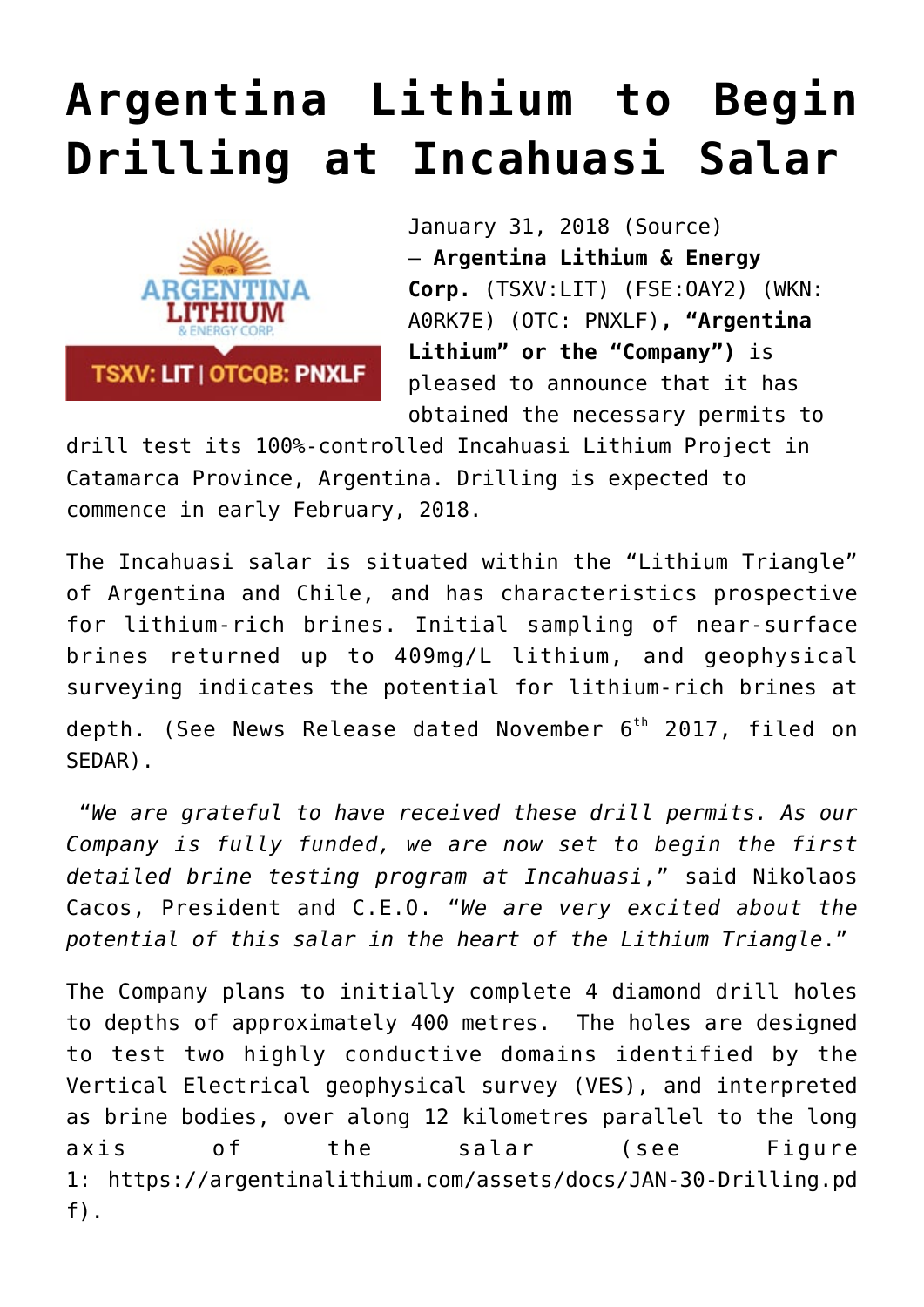## **[Argentina Lithium to Begin](https://investorintel.com/markets/technology-metals/technology-metals-news/argentina-lithium-begin-drilling-incahuasi-salar/) [Drilling at Incahuasi Salar](https://investorintel.com/markets/technology-metals/technology-metals-news/argentina-lithium-begin-drilling-incahuasi-salar/)**



January 31, 2018 [\(Source](https://investorintel.com/iintel-members/argentina-lithium-energy-corp-2/)) — **Argentina Lithium & Energy Corp.** (TSXV:LIT) (FSE:OAY2) (WKN: A0RK7E) (OTC: PNXLF)**, "Argentina Lithium" or the "Company")** is pleased to announce that it has obtained the necessary permits to

drill test its 100%-controlled Incahuasi Lithium Project in Catamarca Province, Argentina. Drilling is expected to commence in early February, 2018.

The Incahuasi salar is situated within the "Lithium Triangle" of Argentina and Chile, and has characteristics prospective for lithium-rich brines. Initial sampling of near-surface brines returned up to 409mg/L lithium, and geophysical surveying indicates the potential for lithium-rich brines at depth. (See News Release dated November  $6<sup>th</sup>$  2017, filed on SEDAR).

 "*We are grateful to have received these drill permits. As our Company is fully funded, we are now set to begin the first detailed brine testing program at Incahuasi*," said Nikolaos Cacos, President and C.E.O. "*We are very excited about the potential of this salar in the heart of the Lithium Triangle*."

The Company plans to initially complete 4 diamond drill holes to depths of approximately 400 metres. The holes are designed to test two highly conductive domains identified by the Vertical Electrical geophysical survey (VES), and interpreted as brine bodies, over along 12 kilometres parallel to the long axis of the salar (see Figure 1: [https://argentinalithium.com/assets/docs/JAN-30-Drilling.pd](https://www.globenewswire.com/Tracker?data=9b7mAH77y4tUwr-ssM6KsHpVOXKf_vQweJy31Sndg1IzeuDYdZX3jhNL8453_rAqJJ2YhoxOza1b49G4ffFofF3P3DU880SFdPkMPRIlXeNyJl6sNNpBEOMtoxZ1ELy2cVkV5Wi3qMuRAugNNKx7RmiKYrIgDHQ8stVKHsUftoyh8JKidYxi7jVuIax3ntAt) [f\)](https://www.globenewswire.com/Tracker?data=9b7mAH77y4tUwr-ssM6KsHpVOXKf_vQweJy31Sndg1IzeuDYdZX3jhNL8453_rAqJJ2YhoxOza1b49G4ffFofF3P3DU880SFdPkMPRIlXeNyJl6sNNpBEOMtoxZ1ELy2cVkV5Wi3qMuRAugNNKx7RmiKYrIgDHQ8stVKHsUftoyh8JKidYxi7jVuIax3ntAt).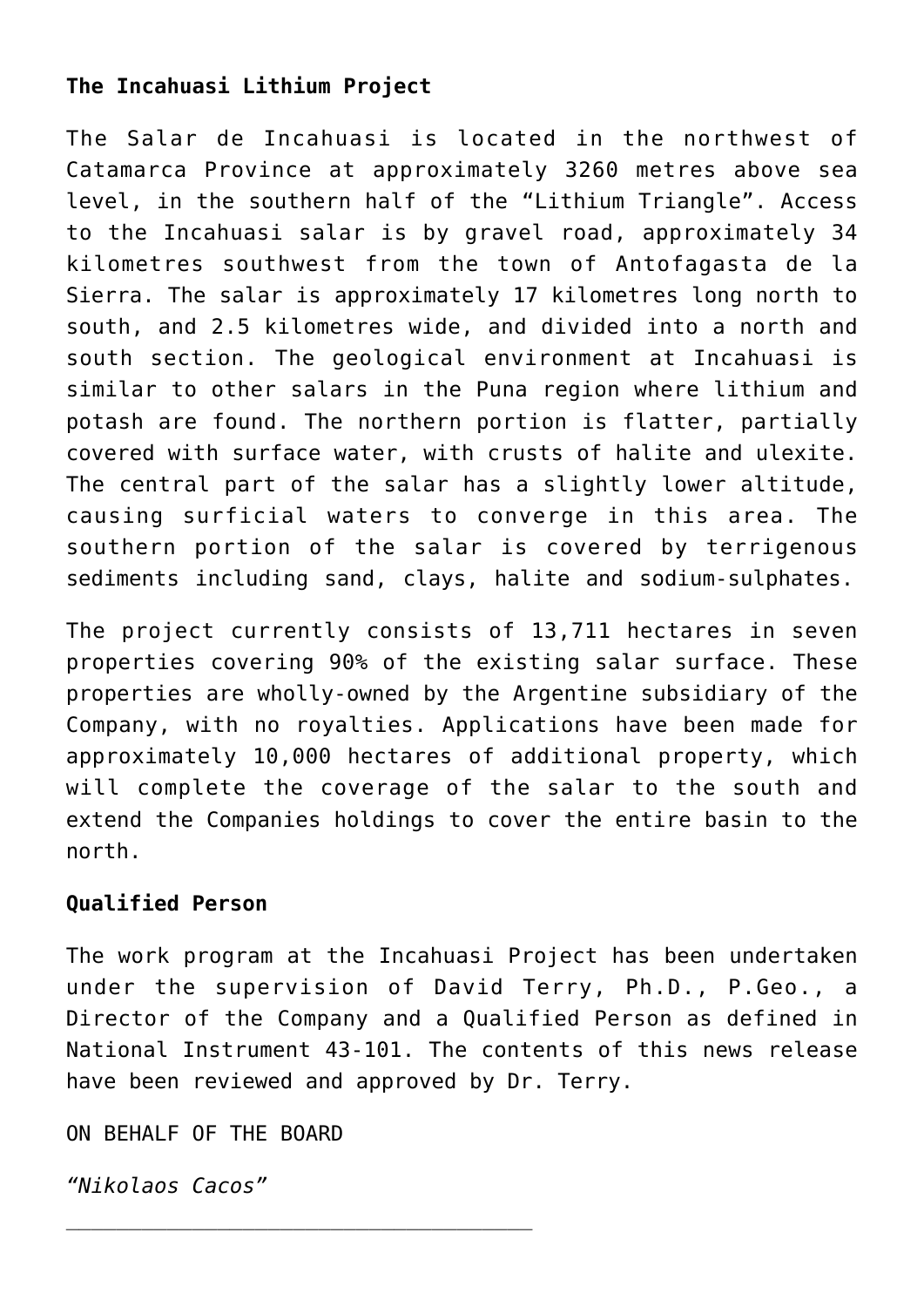## **The Incahuasi Lithium Project**

The Salar de Incahuasi is located in the northwest of Catamarca Province at approximately 3260 metres above sea level, in the southern half of the "Lithium Triangle". Access to the Incahuasi salar is by gravel road, approximately 34 kilometres southwest from the town of Antofagasta de la Sierra. The salar is approximately 17 kilometres long north to south, and 2.5 kilometres wide, and divided into a north and south section. The geological environment at Incahuasi is similar to other salars in the Puna region where lithium and potash are found. The northern portion is flatter, partially covered with surface water, with crusts of halite and ulexite. The central part of the salar has a slightly lower altitude, causing surficial waters to converge in this area. The southern portion of the salar is covered by terrigenous sediments including sand, clays, halite and sodium-sulphates.

The project currently consists of 13,711 hectares in seven properties covering 90% of the existing salar surface. These properties are wholly-owned by the Argentine subsidiary of the Company, with no royalties. Applications have been made for approximately 10,000 hectares of additional property, which will complete the coverage of the salar to the south and extend the Companies holdings to cover the entire basin to the north.

## **Qualified Person**

The work program at the Incahuasi Project has been undertaken under the supervision of David Terry, Ph.D., P.Geo., a Director of the Company and a Qualified Person as defined in National Instrument 43-101. The contents of this news release have been reviewed and approved by Dr. Terry.

ON BEHALF OF THE BOARD

*"Nikolaos Cacos"*